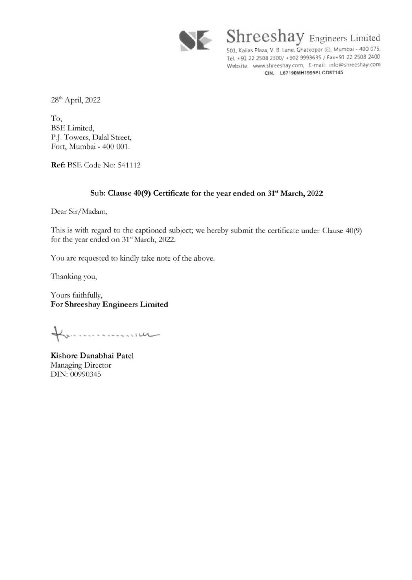

Shreeshay Engineers Limited 501, Kailas Plaza, V. B. Lane. Ghatkopar (E), Mumbai - 400 075. Tel. +91 22 2508 2300/ +902 9993635 / Fax+91 22 2508 2400 Website: www.shreeshay.com, E-mail: info@shreeshay.com CIN. L67190MH199SPLC087145

28<sup>th</sup> April, 2022

To, **BSE** Limited, P.J. Towers, Dalal Street, Fort, Mumbai- 400 001.

**Ref: BSE Code No: 541112** 

## Sub: Clause 40(9) Certificate for the year ended on 31<sup>st</sup> March, 2022

Dear Sir/ Madam,

This is with regard to the captioned subject; we hereby submit the certificate under Clause 40(9) for the year ended on 31<sup>st</sup> March, 2022.

You are requested to kindly take note of the above.

Thanking you,

Yours faithfully, For Shreeshay Engineers Limited

Kommunication

Kishore Danabhai Patel Managing Director DlN: 00990345